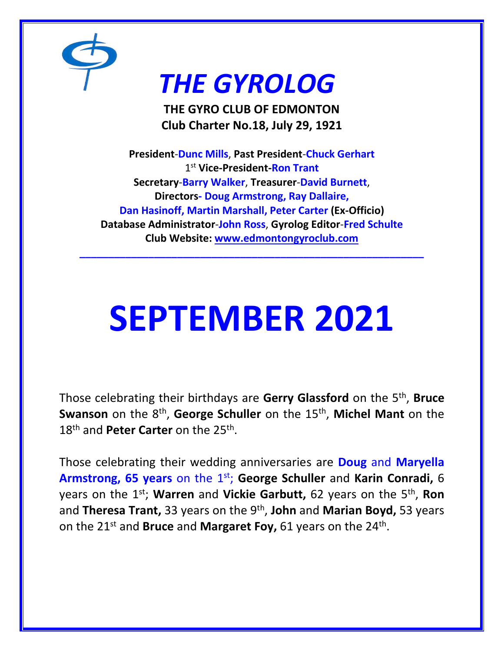

# *THE GYROLOG*

**THE GYRO CLUB OF EDMONTON Club Charter No.18, July 29, 1921**

**President**-**Dunc Mills**, **Past President**-**Chuck Gerhart** 1 st **Vice-President-Ron Trant Secretary**-**Barry Walker**, **Treasurer**-**David Burnett**, **Directors- Doug Armstrong, Ray Dallaire, Dan Hasinoff, Martin Marshall, Peter Carter (Ex-Officio) Database Administrator**-**John Ross**, **Gyrolog Editor**-**Fred Schulte Club Website: [www.edmontongyroclub.com](http://www.edmontongyroclub.com/)**

**\_\_\_\_\_\_\_\_\_\_\_\_\_\_\_\_\_\_\_\_\_\_\_\_\_\_\_\_\_\_\_\_\_\_\_\_\_\_\_\_\_\_\_\_\_\_\_\_\_\_\_\_\_\_\_\_\_\_\_\_**

# **SEPTEMBER 2021**

Those celebrating their birthdays are **Gerry Glassford** on the 5th , **Bruce Swanson** on the 8<sup>th</sup>, George Schuller on the 15<sup>th</sup>, Michel Mant on the 18<sup>th</sup> and Peter Carter on the 25<sup>th</sup>.

Those celebrating their wedding anniversaries are **Doug** and **Maryella Armstrong, 65 years** on the 1st; **George Schuller** and **Karin Conradi,** 6 years on the 1st; **Warren** and **Vickie Garbutt,** 62 years on the 5th , **Ron**  and **Theresa Trant,** 33 years on the 9th , **John** and **Marian Boyd,** 53 years on the 21<sup>st</sup> and **Bruce** and **Margaret Foy,** 61 years on the 24<sup>th</sup>.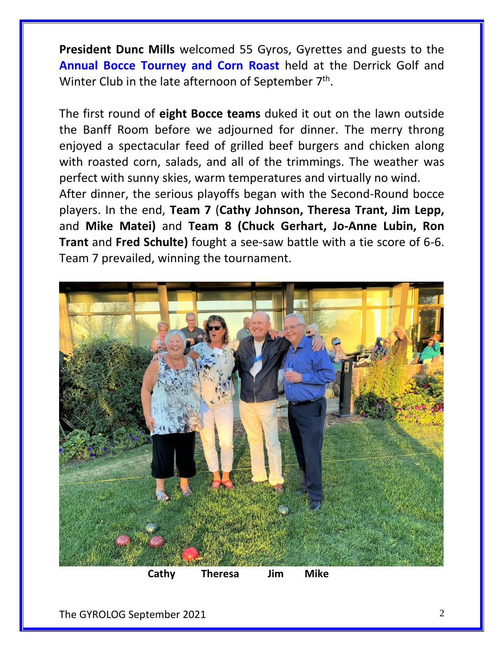**President Dunc Mills** welcomed 55 Gyros, Gyrettes and guests to the **Annual Bocce Tourney and Corn Roast** held at the Derrick Golf and Winter Club in the late afternoon of September 7<sup>th</sup>.

The first round of **eight Bocce teams** duked it out on the lawn outside the Banff Room before we adjourned for dinner. The merry throng enjoyed a spectacular feed of grilled beef burgers and chicken along with roasted corn, salads, and all of the trimmings. The weather was perfect with sunny skies, warm temperatures and virtually no wind.

After dinner, the serious playoffs began with the Second-Round bocce players. In the end, **Team 7** (**Cathy Johnson, Theresa Trant, Jim Lepp,**  and **Mike Matei)** and **Team 8 (Chuck Gerhart, Jo-Anne Lubin, Ron Trant** and **Fred Schulte)** fought a see-saw battle with a tie score of 6-6. Team 7 prevailed, winning the tournament.



 **Cathy Theresa Jim Mike**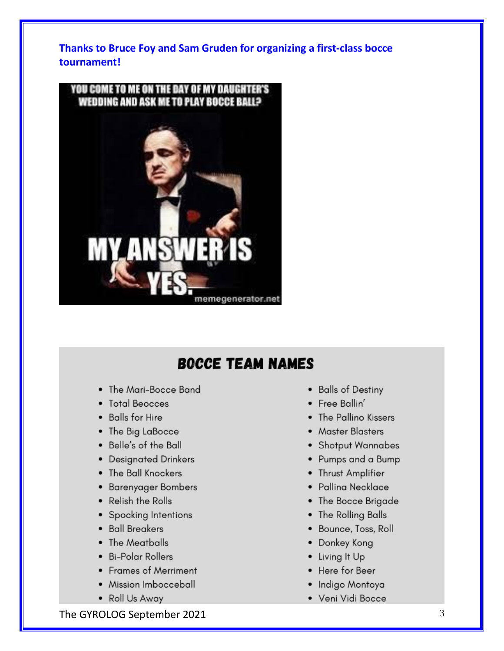**Thanks to Bruce Foy and Sam Gruden for organizing a first-class bocce tournament!**



# **BOCCE TEAM NAMES**

- The Mari-Bocce Band
- Total Beocces
- Balls for Hire
- The Big LaBocce
- Belle's of the Ball
- Designated Drinkers
- The Ball Knockers
- Barenyager Bombers
- Relish the Rolls
- Spocking Intentions
- · Ball Breakers
- The Meatballs
- · Bi-Polar Rollers
- Frames of Merriment
- Mission Imbocceball
- Roll Us Away
- Balls of Destiny
- Free Ballin'
- The Pallino Kissers
- Master Blasters
- Shotput Wannabes
- Pumps and a Bump
- Thrust Amplifier
- Palling Necklace
- The Bocce Brigade
- The Rolling Balls
- · Bounce, Toss, Roll
- Donkey Kong
- Living It Up
- Here for Beer
- · Indigo Montoya
- Veni Vidi Bocce

The GYROLOG September 2021 3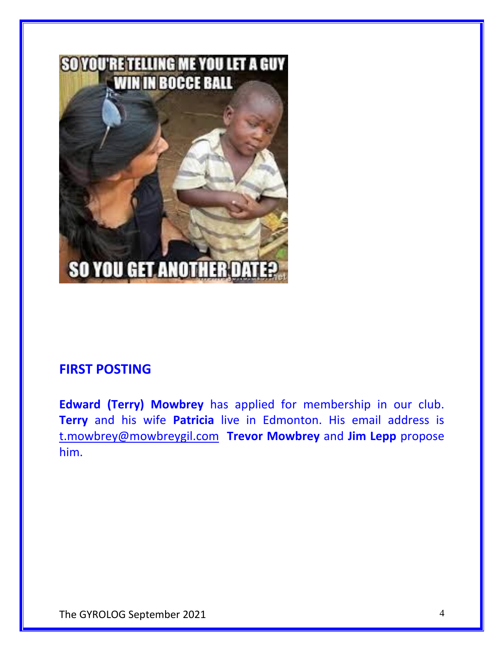

## **FIRST POSTING**

**Edward (Terry) Mowbrey** has applied for membership in our club. **Terry** and his wife **Patricia** live in Edmonton. His email address is [t.mowbrey@mowbreygil.com](mailto:t.mowbrey@mowbreygil.com) **Trevor Mowbrey** and **Jim Lepp** propose him.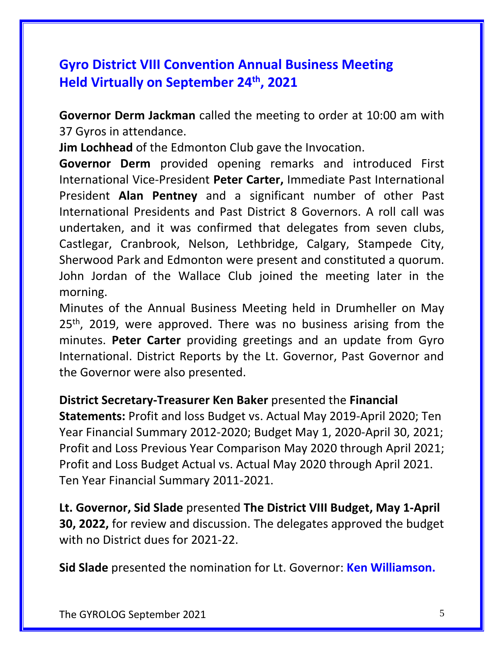# **Gyro District VIII Convention Annual Business Meeting Held Virtually on September 24th, 2021**

**Governor Derm Jackman** called the meeting to order at 10:00 am with 37 Gyros in attendance.

**Jim Lochhead** of the Edmonton Club gave the Invocation.

**Governor Derm** provided opening remarks and introduced First International Vice-President **Peter Carter,** Immediate Past International President **Alan Pentney** and a significant number of other Past International Presidents and Past District 8 Governors. A roll call was undertaken, and it was confirmed that delegates from seven clubs, Castlegar, Cranbrook, Nelson, Lethbridge, Calgary, Stampede City, Sherwood Park and Edmonton were present and constituted a quorum. John Jordan of the Wallace Club joined the meeting later in the morning.

Minutes of the Annual Business Meeting held in Drumheller on May 25<sup>th</sup>, 2019, were approved. There was no business arising from the minutes. **Peter Carter** providing greetings and an update from Gyro International. District Reports by the Lt. Governor, Past Governor and the Governor were also presented.

### **District Secretary-Treasurer Ken Baker** presented the **Financial**

**Statements:** Profit and loss Budget vs. Actual May 2019-April 2020; Ten Year Financial Summary 2012-2020; Budget May 1, 2020-April 30, 2021; Profit and Loss Previous Year Comparison May 2020 through April 2021; Profit and Loss Budget Actual vs. Actual May 2020 through April 2021. Ten Year Financial Summary 2011-2021.

**Lt. Governor, Sid Slade** presented **The District VIII Budget, May 1-April 30, 2022,** for review and discussion. The delegates approved the budget with no District dues for 2021-22.

**Sid Slade** presented the nomination for Lt. Governor: **Ken Williamson.**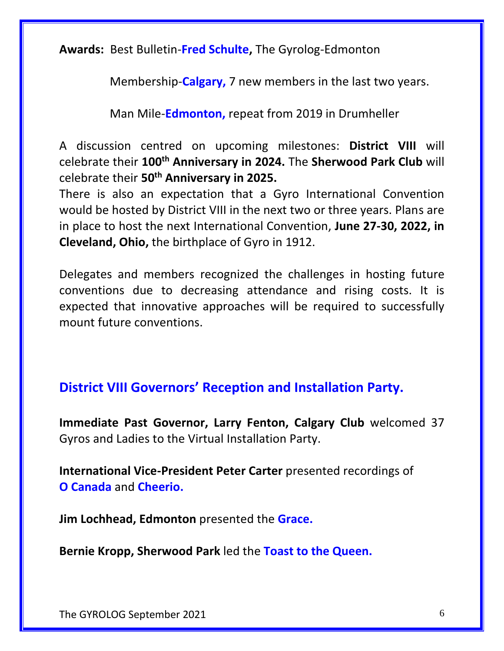**Awards:** Best Bulletin-**Fred Schulte,** The Gyrolog-Edmonton

Membership-**Calgary,** 7 new members in the last two years.

Man Mile-**Edmonton,** repeat from 2019 in Drumheller

A discussion centred on upcoming milestones: **District VIII** will celebrate their **100th Anniversary in 2024.** The **Sherwood Park Club** will celebrate their **50th Anniversary in 2025.**

There is also an expectation that a Gyro International Convention would be hosted by District VIII in the next two or three years. Plans are in place to host the next International Convention, **June 27-30, 2022, in Cleveland, Ohio,** the birthplace of Gyro in 1912.

Delegates and members recognized the challenges in hosting future conventions due to decreasing attendance and rising costs. It is expected that innovative approaches will be required to successfully mount future conventions.

# **District VIII Governors' Reception and Installation Party.**

**Immediate Past Governor, Larry Fenton, Calgary Club** welcomed 37 Gyros and Ladies to the Virtual Installation Party.

**International Vice-President Peter Carter** presented recordings of **O Canada** and **Cheerio.**

**Jim Lochhead, Edmonton** presented the **Grace.**

**Bernie Kropp, Sherwood Park** led the **Toast to the Queen.**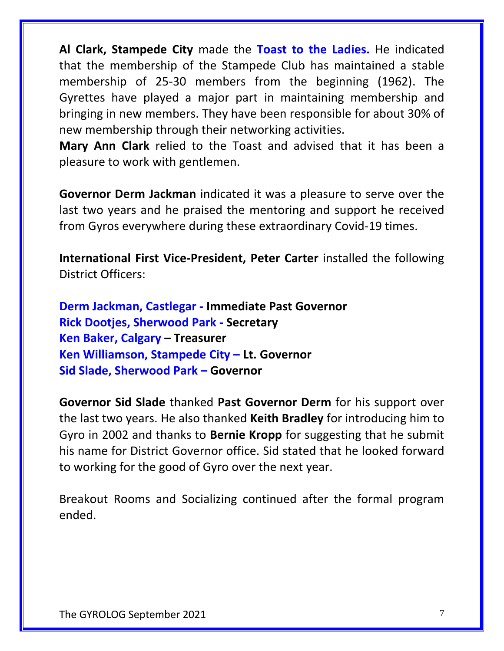**Al Clark, Stampede City** made the **Toast to the Ladies.** He indicated that the membership of the Stampede Club has maintained a stable membership of 25-30 members from the beginning (1962). The Gyrettes have played a major part in maintaining membership and bringing in new members. They have been responsible for about 30% of new membership through their networking activities.

**Mary Ann Clark** relied to the Toast and advised that it has been a pleasure to work with gentlemen.

**Governor Derm Jackman** indicated it was a pleasure to serve over the last two years and he praised the mentoring and support he received from Gyros everywhere during these extraordinary Covid-19 times.

**International First Vice-President, Peter Carter** installed the following District Officers:

**Derm Jackman, Castlegar - Immediate Past Governor Rick Dootjes, Sherwood Park - Secretary Ken Baker, Calgary – Treasurer Ken Williamson, Stampede City – Lt. Governor Sid Slade, Sherwood Park – Governor** 

**Governor Sid Slade** thanked **Past Governor Derm** for his support over the last two years. He also thanked **Keith Bradley** for introducing him to Gyro in 2002 and thanks to **Bernie Kropp** for suggesting that he submit his name for District Governor office. Sid stated that he looked forward to working for the good of Gyro over the next year.

Breakout Rooms and Socializing continued after the formal program ended.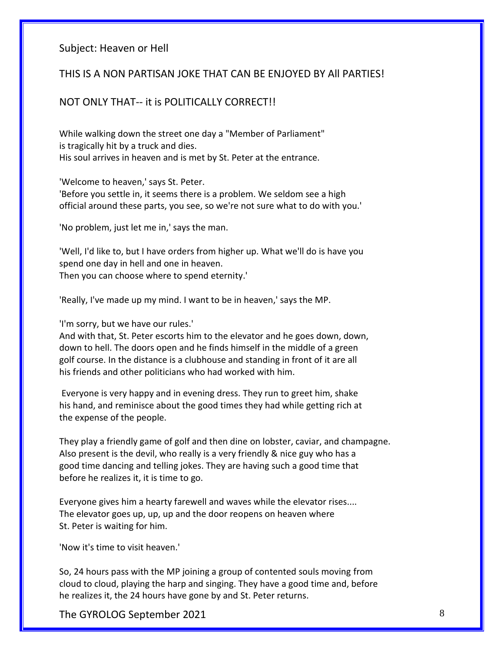#### Subject: Heaven or Hell

#### THIS IS A NON PARTISAN JOKE THAT CAN BE ENJOYED BY All PARTIES!

#### NOT ONLY THAT-- it is POLITICALLY CORRECT!!

While walking down the street one day a "Member of Parliament" is tragically hit by a truck and dies. His soul arrives in heaven and is met by St. Peter at the entrance.

'Welcome to heaven,' says St. Peter.

'Before you settle in, it seems there is a problem. We seldom see a high official around these parts, you see, so we're not sure what to do with you.'

'No problem, just let me in,' says the man.

'Well, I'd like to, but I have orders from higher up. What we'll do is have you spend one day in hell and one in heaven. Then you can choose where to spend eternity.'

'Really, I've made up my mind. I want to be in heaven,' says the MP.

'I'm sorry, but we have our rules.'

And with that, St. Peter escorts him to the elevator and he goes down, down, down to hell. The doors open and he finds himself in the middle of a green golf course. In the distance is a clubhouse and standing in front of it are all his friends and other politicians who had worked with him.

Everyone is very happy and in evening dress. They run to greet him, shake his hand, and reminisce about the good times they had while getting rich at the expense of the people.

They play a friendly game of golf and then dine on lobster, caviar, and champagne. Also present is the devil, who really is a very friendly & nice guy who has a good time dancing and telling jokes. They are having such a good time that before he realizes it, it is time to go.

Everyone gives him a hearty farewell and waves while the elevator rises.... The elevator goes up, up, up and the door reopens on heaven where St. Peter is waiting for him.

'Now it's time to visit heaven.'

So, 24 hours pass with the MP joining a group of contented souls moving from cloud to cloud, playing the harp and singing. They have a good time and, before he realizes it, the 24 hours have gone by and St. Peter returns.

The GYROLOG September 2021 8